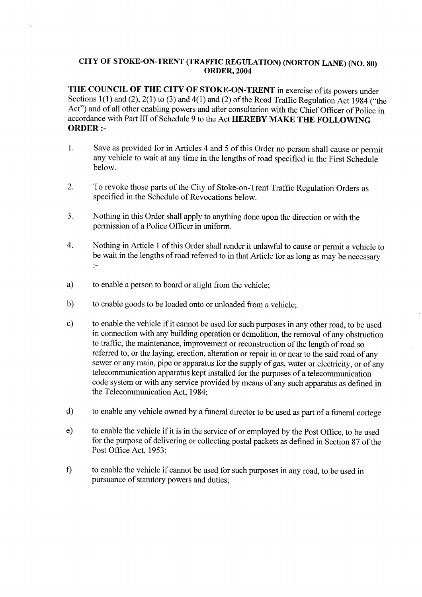## CITY OF STOKE-ON-TRENT (TRAFFIC REGULATION) (NORTON LANE) (NO. 80) **ORDER, 2004**

THE COUNCIL OF THE CITY OF STOKE-ON-TRENT in exercise of its powers under Sections 1(1) and (2), 2(1) to (3) and 4(1) and (2) of the Road Traffic Regulation Act 1984 ("the Act") and of all other enabling powers and after consultation with the Chief Officer of Police in accordance with Part III of Schedule 9 to the Act HEREBY MAKE THE FOLLOWING **ORDER:-**

- 1. Save as provided for in Articles 4 and 5 of this Order no person shall cause or permit any vehicle to wait at any time in the lengths of road specified in the First Schedule below.
- 2. To revoke those parts of the City of Stoke-on-Trent Traffic Regulation Orders as specified in the Schedule of Revocations below.
- 3. Nothing in this Order shall apply to anything done upon the direction or with the permission of a Police Officer in uniform.
- 4. Nothing in Article I of this Order shall render it unlawful to cause or permit a vehicle to be wait in the lengths of road referred to in that Article for as long as may be necessary  $\ddot{z}$
- a) to enable a person to board or alight from the vehicle;

 $\epsilon_{\rm th}$ 

- b) to enable goods to be loaded onto or unloaded from a vehicle;
- c) to enable the vehicle if it cannot be used for such purposes in any other road, to be used in connection with any building operation or demolition, the removal of any obstruction to traffic, the maintenance, improvement or reconstruction of the length of road so referred to, or the laying, erection, alteration or repair in or near to the said road of any sewer or any main, pipe or apparatus for the supply of gas, water or electricity, or of any telecommunication apparatus kept installed for the purposes of a telecommunication code system or with any service provided by means of any such apparatus as defined in the Telecommunication Act, 1984;
- d) to enable any vehicle owned by a funeral director to be used as part of a funeral cortege
- e) to enable the vehicle if it is in the service of or employed by the Post Office, to be used for the purpose of delivering or collecting postal packets as defined in Section 87 of the Post Office Act, 1953;
- f) to enable the vehicle if cannot be used for such purposes in any road, to be used in pursuance of statutory powers and duties;